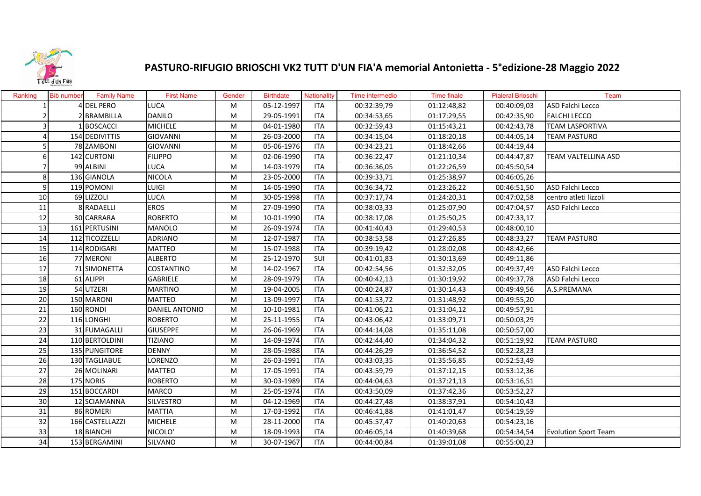

## **PASTURO‐RIFUGIO BRIOSCHI VK2 TUTT D'UN FIA'A memorial Antonietta ‐ 5°edizione‐28 Maggio 2022**

| Ranking        | <b>Bib number</b> | <b>Family Name</b> | <b>First Name</b>     | Gender | <b>Birthdate</b> | Nationality | Time intermedio | <b>Time finale</b> | <b>Pialeral Brioschi</b> | Team                        |
|----------------|-------------------|--------------------|-----------------------|--------|------------------|-------------|-----------------|--------------------|--------------------------|-----------------------------|
|                |                   | <b>DEL PERO</b>    | <b>LUCA</b>           | М      | 05-12-1997       | <b>ITA</b>  | 00:32:39,79     | 01:12:48,82        | 00:40:09,03              | ASD Falchi Lecco            |
|                |                   | <b>BRAMBILLA</b>   | <b>DANILO</b>         | M      | 29-05-1991       | <b>ITA</b>  | 00:34:53,65     | 01:17:29,55        | 00:42:35,90              | <b>FALCHI LECCO</b>         |
|                |                   | <b>BOSCACCI</b>    | <b>MICHELE</b>        | M      | 04-01-1980       | <b>ITA</b>  | 00:32:59,43     | 01:15:43,21        | 00:42:43,78              | <b>TEAM LASPORTIVA</b>      |
|                |                   | 154 DEDIVITTIS     | <b>GIOVANNI</b>       | M      | 26-03-2000       | <b>ITA</b>  | 00:34:15,04     | 01:18:20,18        | 00:44:05,14              | <b>TEAM PASTURO</b>         |
|                |                   | 78 ZAMBONI         | <b>GIOVANNI</b>       | M      | 05-06-1976       | <b>ITA</b>  | 00:34:23,21     | 01:18:42,66        | 00:44:19,44              |                             |
| 61             |                   | 142 CURTONI        | <b>FILIPPO</b>        | M      | 02-06-1990       | <b>ITA</b>  | 00:36:22,47     | 01:21:10,34        | 00:44:47,87              | <b>TEAM VALTELLINA ASD</b>  |
|                |                   | 99 ALBINI          | <b>LUCA</b>           | M      | 14-03-1979       | <b>ITA</b>  | 00:36:36,05     | 01:22:26,59        | 00:45:50,54              |                             |
| 8              |                   | 136 GIANOLA        | <b>NICOLA</b>         | М      | 23-05-2000       | <b>ITA</b>  | 00:39:33,71     | 01:25:38,97        | 00:46:05,26              |                             |
| $\overline{9}$ |                   | 119 POMONI         | LUIGI                 | M      | 14-05-1990       | <b>ITA</b>  | 00:36:34,72     | 01:23:26,22        | 00:46:51,50              | ASD Falchi Lecco            |
| 10             |                   | 69 LIZZOLI         | LUCA                  | M      | 30-05-1998       | <b>ITA</b>  | 00:37:17,74     | 01:24:20,31        | 00:47:02,58              | centro atleti lizzoli       |
| 11             |                   | 8 RADAELLI         | <b>EROS</b>           | M      | 27-09-1990       | <b>ITA</b>  | 00:38:03,33     | 01:25:07,90        | 00:47:04,57              | ASD Falchi Lecco            |
| 12             |                   | 30 CARRARA         | <b>ROBERTO</b>        | M      | 10-01-1990       | <b>ITA</b>  | 00:38:17,08     | 01:25:50,25        | 00:47:33,17              |                             |
| 13             |                   | 161 PERTUSINI      | <b>MANOLO</b>         | M      | 26-09-1974       | <b>ITA</b>  | 00:41:40,43     | 01:29:40,53        | 00:48:00,10              |                             |
| 14             |                   | 112 TICOZZELLI     | <b>ADRIANO</b>        | M      | 12-07-1987       | <b>ITA</b>  | 00:38:53,58     | 01:27:26,85        | 00:48:33,27              | <b>TEAM PASTURO</b>         |
| 15             |                   | 114 RODIGARI       | <b>MATTEO</b>         | M      | 15-07-1988       | <b>ITA</b>  | 00:39:19,42     | 01:28:02,08        | 00:48:42,66              |                             |
| 16             |                   | 77 MERONI          | <b>ALBERTO</b>        | М      | 25-12-1970       | SUI         | 00:41:01,83     | 01:30:13,69        | 00:49:11,86              |                             |
| 17             |                   | 71 SIMONETTA       | <b>COSTANTINO</b>     | M      | 14-02-1967       | <b>ITA</b>  | 00:42:54,56     | 01:32:32,05        | 00:49:37,49              | ASD Falchi Lecco            |
| 18             |                   | 61 ALIPPI          | <b>GABRIELE</b>       | M      | 28-09-1979       | <b>ITA</b>  | 00:40:42,13     | 01:30:19,92        | 00:49:37,78              | ASD Falchi Lecco            |
| 19             |                   | 54 UTZERI          | <b>MARTINO</b>        | M      | 19-04-2005       | <b>ITA</b>  | 00:40:24,87     | 01:30:14,43        | 00:49:49,56              | A.S.PREMANA                 |
| 20             |                   | 150 MARONI         | <b>MATTEO</b>         | M      | 13-09-1997       | <b>ITA</b>  | 00:41:53,72     | 01:31:48,92        | 00:49:55,20              |                             |
| 21             |                   | 160 RONDI          | <b>DANIEL ANTONIO</b> | M      | 10-10-1981       | <b>ITA</b>  | 00:41:06,21     | 01:31:04,12        | 00:49:57,91              |                             |
| 22             |                   | 116 LONGHI         | <b>ROBERTO</b>        | M      | 25-11-1955       | <b>ITA</b>  | 00:43:06,42     | 01:33:09,71        | 00:50:03,29              |                             |
| 23             |                   | 31 FUMAGALLI       | <b>GIUSEPPE</b>       | M      | 26-06-1969       | <b>ITA</b>  | 00:44:14,08     | 01:35:11,08        | 00:50:57,00              |                             |
| 24             |                   | 110 BERTOLDINI     | <b>TIZIANO</b>        | M      | 14-09-1974       | <b>ITA</b>  | 00:42:44,40     | 01:34:04,32        | 00:51:19,92              | <b>TEAM PASTURO</b>         |
| 25             |                   | 135 PUNGITORE      | <b>DENNY</b>          | M      | 28-05-1988       | <b>ITA</b>  | 00:44:26,29     | 01:36:54,52        | 00:52:28,23              |                             |
| 26             |                   | 130 TAGLIABUE      | <b>LORENZO</b>        | M      | 26-03-1991       | <b>ITA</b>  | 00:43:03,35     | 01:35:56,85        | 00:52:53,49              |                             |
| 27             |                   | 26 MOLINARI        | <b>MATTEO</b>         | M      | 17-05-1991       | <b>ITA</b>  | 00:43:59,79     | 01:37:12,15        | 00:53:12,36              |                             |
| 28             |                   | 175 NORIS          | <b>ROBERTO</b>        | M      | 30-03-1989       | <b>ITA</b>  | 00:44:04,63     | 01:37:21,13        | 00:53:16,51              |                             |
| 29             |                   | 151 BOCCARDI       | <b>MARCO</b>          | M      | 25-05-1974       | <b>ITA</b>  | 00:43:50,09     | 01:37:42,36        | 00:53:52,27              |                             |
| 30             |                   | 12 SCIAMANNA       | <b>SILVESTRO</b>      | M      | 04-12-1969       | <b>ITA</b>  | 00:44:27,48     | 01:38:37,91        | 00:54:10,43              |                             |
| 31             |                   | 86 ROMERI          | <b>MATTIA</b>         | M      | 17-03-1992       | <b>ITA</b>  | 00:46:41,88     | 01:41:01,47        | 00:54:19,59              |                             |
| 32             |                   | 166 CASTELLAZZI    | <b>MICHELE</b>        | M      | 28-11-2000       | <b>ITA</b>  | 00:45:57,47     | 01:40:20,63        | 00:54:23,16              |                             |
| 33             |                   | 18 BIANCHI         | NICOLO'               | M      | 18-09-1993       | <b>ITA</b>  | 00:46:05,14     | 01:40:39,68        | 00:54:34,54              | <b>Evolution Sport Team</b> |
| 34             |                   | 153 BERGAMINI      | SILVANO               | M      | 30-07-1967       | <b>ITA</b>  | 00:44:00,84     | 01:39:01,08        | 00:55:00,23              |                             |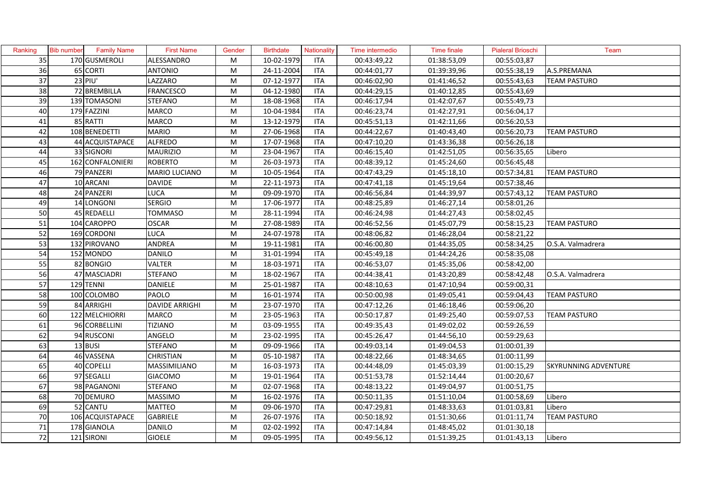| Ranking | <b>Bib number</b> | Family Name      | <b>First Name</b>     | Gender | <b>Birthdate</b> | Nationality | Time intermedio | Time finale | <b>Pialeral Brioschi</b> | Team                        |
|---------|-------------------|------------------|-----------------------|--------|------------------|-------------|-----------------|-------------|--------------------------|-----------------------------|
| 35      |                   | 170 GUSMEROLI    | ALESSANDRO            | M      | 10-02-1979       | <b>ITA</b>  | 00:43:49,22     | 01:38:53,09 | 00:55:03,87              |                             |
| 36      |                   | 65 CORTI         | <b>ANTONIO</b>        | M      | 24-11-2004       | ITA         | 00:44:01,77     | 01:39:39,96 | 00:55:38,19              | A.S.PREMANA                 |
| 37      |                   | 23 PIU'          | LAZZARO               | M      | 07-12-1977       | ITA         | 00:46:02,90     | 01:41:46,52 | 00:55:43,63              | TEAM PASTURO                |
| 38      |                   | 72 BREMBILLA     | <b>FRANCESCO</b>      | M      | 04-12-1980       | <b>ITA</b>  | 00:44:29,15     | 01:40:12,85 | 00:55:43,69              |                             |
| 39      |                   | 139 TOMASONI     | <b>STEFANO</b>        | M      | 18-08-1968       | <b>ITA</b>  | 00:46:17,94     | 01:42:07,67 | 00:55:49,73              |                             |
| 40      |                   | 179 FAZZINI      | MARCO                 | M      | 10-04-1984       | <b>ITA</b>  | 00:46:23,74     | 01:42:27,91 | 00:56:04,17              |                             |
| 41      |                   | 85 RATTI         | MARCO                 | M      | 13-12-1979       | <b>ITA</b>  | 00:45:51,13     | 01:42:11,66 | 00:56:20,53              |                             |
| 42      |                   | 108 BENEDETTI    | <b>MARIO</b>          | M      | 27-06-1968       | <b>ITA</b>  | 00:44:22,67     | 01:40:43,40 | 00:56:20,73              | <b>TEAM PASTURO</b>         |
| 43      |                   | 44 ACQUISTAPACE  | <b>ALFREDO</b>        | M      | 17-07-1968       | <b>ITA</b>  | 00:47:10,20     | 01:43:36,38 | 00:56:26,18              |                             |
| 44      |                   | 33 SIGNORI       | <b>MAURIZIO</b>       | M      | 23-04-1967       | <b>ITA</b>  | 00:46:15,40     | 01:42:51,05 | 00:56:35,65              | Libero                      |
| 45      |                   | 162 CONFALONIERI | <b>ROBERTO</b>        | M      | 26-03-1973       | <b>ITA</b>  | 00:48:39,12     | 01:45:24,60 | 00:56:45,48              |                             |
| 46      |                   | 79 PANZERI       | MARIO LUCIANO         | M      | 10-05-1964       | <b>ITA</b>  | 00:47:43,29     | 01:45:18,10 | 00:57:34,81              | <b>TEAM PASTURO</b>         |
| 47      |                   | 10 ARCANI        | <b>DAVIDE</b>         | M      | 22-11-1973       | <b>ITA</b>  | 00:47:41,18     | 01:45:19,64 | 00:57:38,46              |                             |
| 48      |                   | 24 PANZERI       | <b>LUCA</b>           | M      | 09-09-1970       | <b>ITA</b>  | 00:46:56,84     | 01:44:39,97 | 00:57:43,12              | <b>TEAM PASTURO</b>         |
| 49      |                   | 14 LONGONI       | <b>SERGIO</b>         | M      | 17-06-1977       | <b>ITA</b>  | 00:48:25,89     | 01:46:27,14 | 00:58:01,26              |                             |
| 50      |                   | 45 REDAELLI      | <b>TOMMASO</b>        | M      | 28-11-1994       | <b>ITA</b>  | 00:46:24,98     | 01:44:27,43 | 00:58:02,45              |                             |
| 51      |                   | 104 CAROPPO      | <b>OSCAR</b>          | M      | 27-08-1989       | <b>ITA</b>  | 00:46:52,56     | 01:45:07,79 | 00:58:15,23              | <b>TEAM PASTURO</b>         |
| 52      |                   | 169 CORDONI      | LUCA                  | M      | 24-07-1978       | <b>ITA</b>  | 00:48:06,82     | 01:46:28,04 | 00:58:21,22              |                             |
| 53      |                   | 132 PIROVANO     | ANDREA                | M      | 19-11-1981       | ITA         | 00:46:00,80     | 01:44:35,05 | 00:58:34,25              | O.S.A. Valmadrera           |
| 54      |                   | 152 MONDO        | <b>DANILO</b>         | M      | 31-01-1994       | <b>ITA</b>  | 00:45:49,18     | 01:44:24,26 | 00:58:35,08              |                             |
| 55      |                   | 82 BONGIO        | <b>VALTER</b>         | M      | 18-03-1971       | <b>ITA</b>  | 00:46:53,07     | 01:45:35,06 | 00:58:42,00              |                             |
| 56      |                   | 47 MASCIADRI     | <b>STEFANO</b>        | M      | 18-02-1967       | <b>ITA</b>  | 00:44:38,41     | 01:43:20,89 | 00:58:42,48              | O.S.A. Valmadrera           |
| 57      |                   | 129 TENNI        | <b>DANIELE</b>        | M      | 25-01-1987       | <b>ITA</b>  | 00:48:10,63     | 01:47:10,94 | 00:59:00,31              |                             |
| 58      |                   | 100 COLOMBO      | <b>PAOLO</b>          | M      | 16-01-1974       | <b>ITA</b>  | 00:50:00,98     | 01:49:05,41 | 00:59:04,43              | TEAM PASTURO                |
| 59      |                   | 84 ARRIGHI       | <b>DAVIDE ARRIGHI</b> | M      | 23-07-1970       | <b>ITA</b>  | 00:47:12,26     | 01:46:18,46 | 00:59:06,20              |                             |
| 60      |                   | 122 MELCHIORRI   | <b>MARCO</b>          | M      | 23-05-1963       | <b>ITA</b>  | 00:50:17,87     | 01:49:25,40 | 00:59:07,53              | <b>TEAM PASTURO</b>         |
| 61      |                   | 96 CORBELLINI    | <b>TIZIANO</b>        | M      | 03-09-1955       | <b>ITA</b>  | 00:49:35,43     | 01:49:02,02 | 00:59:26,59              |                             |
| 62      |                   | 94 RUSCONI       | ANGELO                | M      | 23-02-1995       | <b>ITA</b>  | 00:45:26,47     | 01:44:56,10 | 00:59:29,63              |                             |
| 63      |                   | 13 BUSI          | <b>STEFANO</b>        | M      | 09-09-1966       | <b>ITA</b>  | 00:49:03,14     | 01:49:04,53 | 01:00:01,39              |                             |
| 64      |                   | 46 VASSENA       | <b>CHRISTIAN</b>      | M      | 05-10-1987       | <b>ITA</b>  | 00:48:22,66     | 01:48:34,65 | 01:00:11,99              |                             |
| 65      |                   | 40 COPELLI       | MASSIMILIANO          | M      | 16-03-1973       | <b>ITA</b>  | 00:44:48,09     | 01:45:03,39 | 01:00:15,29              | <b>SKYRUNNING ADVENTURE</b> |
| 66      |                   | 97 SEGALLI       | <b>GIACOMO</b>        | M      | 19-01-1964       | <b>ITA</b>  | 00:51:53,78     | 01:52:14,44 | 01:00:20,67              |                             |
| 67      |                   | 98 PAGANONI      | <b>STEFANO</b>        | M      | 02-07-1968       | <b>ITA</b>  | 00:48:13,22     | 01:49:04,97 | 01:00:51,75              |                             |
| 68      |                   | 70 DEMURO        | <b>MASSIMO</b>        | M      | 16-02-1976       | <b>ITA</b>  | 00:50:11,35     | 01:51:10,04 | 01:00:58,69              | Libero                      |
| 69      |                   | 52 CANTU         | MATTEO                | M      | 09-06-1970       | <b>ITA</b>  | 00:47:29,81     | 01:48:33,63 | 01:01:03,81              | Libero                      |
| 70      |                   | 106 ACQUISTAPACE | <b>GABRIELE</b>       | M      | 26-07-1976       | <b>ITA</b>  | 00:50:18,92     | 01:51:30,66 | 01:01:11,74              | <b>TEAM PASTURO</b>         |
| 71      |                   | 178 GIANOLA      | <b>DANILO</b>         | M      | 02-02-1992       | <b>ITA</b>  | 00:47:14,84     | 01:48:45,02 | 01:01:30,18              |                             |
| 72      |                   | 121 SIRONI       | <b>GIOELE</b>         | M      | 09-05-1995       | <b>ITA</b>  | 00:49:56,12     | 01:51:39,25 | 01:01:43,13              | Libero                      |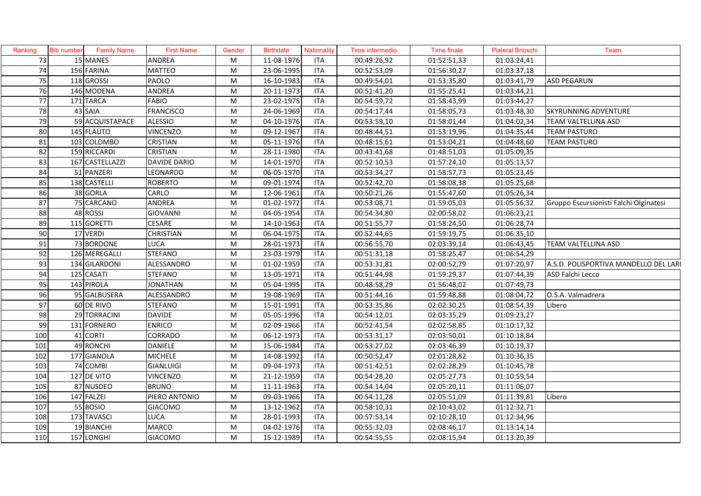| Ranking         | <b>Bib number</b> | <b>Family Name</b> | <b>First Name</b>   | Gender | <b>Birthdate</b> | Nationality | Time intermedio | Time finale | <b>Pialeral Brioschi</b> | Team                                   |
|-----------------|-------------------|--------------------|---------------------|--------|------------------|-------------|-----------------|-------------|--------------------------|----------------------------------------|
| 73              |                   | 15 MANES           | ANDREA              | M      | 11-08-1976       | <b>ITA</b>  | 00:49:26,92     | 01:52:51,33 | 01:03:24,41              |                                        |
| 74              |                   | 156 FARINA         | <b>MATTEO</b>       | M      | 23-06-1995       | <b>ITA</b>  | 00:52:53,09     | 01:56:30,27 | 01:03:37,18              |                                        |
| 75              |                   | 118 GROSSI         | PAOLO               | M      | 16-10-1983       | <b>ITA</b>  | 00:49:54,01     | 01:53:35,80 | 01:03:41,79              | <b>ASD PEGARUN</b>                     |
| 76              |                   | 146 MODENA         | ANDREA              | M      | 20-11-1973       | <b>ITA</b>  | 00:51:41,20     | 01:55:25,41 | 01:03:44,21              |                                        |
| 77              |                   | 171 TARCA          | <b>FABIO</b>        | M      | 23-02-1975       | <b>ITA</b>  | 00:54:59,72     | 01:58:43,99 | 01:03:44,27              |                                        |
| 78              |                   | 43 SAIA            | <b>FRANCISCO</b>    | M      | 24-06-1969       | <b>ITA</b>  | 00:54:17,44     | 01:58:05,73 | 01:03:48,30              | <b>SKYRUNNING ADVENTURE</b>            |
| 79              |                   | 59 ACQUISTAPACE    | <b>ALESSIO</b>      | M      | 04-10-1976       | <b>ITA</b>  | 00:53:59,10     | 01:58:01,44 | 01:04:02,34              | TEAM VALTELLINA ASD                    |
| 80              |                   | 145 FLAUTO         | <b>VINCENZO</b>     | M      | 09-12-1967       | <b>ITA</b>  | 00:48:44,51     | 01:53:19,96 | 01:04:35,44              | TEAM PASTURO                           |
| 81              |                   | 103 COLOMBO        | CRISTIAN            | M      | 05-11-1976       | <b>ITA</b>  | 00:48:15,61     | 01:53:04,21 | 01:04:48,60              | TEAM PASTURO                           |
| 82              |                   | 159 RICCARDI       | CRISTIAN            | M      | 28-11-1980       | <b>ITA</b>  | 00:43:41,68     | 01:48:51,03 | 01:05:09,35              |                                        |
| 83              |                   | 167 CASTELLAZZI    | <b>DAVIDE DARIO</b> | M      | 14-01-1970       | <b>ITA</b>  | 00:52:10,53     | 01:57:24,10 | $\overline{01:05:13,57}$ |                                        |
| 84              |                   | 51 PANZERI         | LEONARDO            | M      | 06-05-1970       | <b>ITA</b>  | 00:53:34,27     | 01:58:57,73 | 01:05:23,45              |                                        |
| 85              |                   | 138 CASTELLI       | <b>ROBERTO</b>      | M      | 09-01-1974       | <b>ITA</b>  | 00:52:42,70     | 01:58:08,38 | 01:05:25,68              |                                        |
| 86              |                   | 38 GORLA           | CARLO               | M      | 12-06-1961       | <b>ITA</b>  | 00:50:21,26     | 01:55:47,60 | 01:05:26,34              |                                        |
| 87              |                   | 75 CARCANO         | ANDREA              | M      | 01-02-1972       | <b>ITA</b>  | 00:53:08,71     | 01:59:05,03 | 01:05:56,32              | Gruppo Escursionisti Falchi Olginatesi |
| 88              |                   | 48 ROSSI           | <b>GIOVANNI</b>     | M      | 04-05-1954       | <b>ITA</b>  | 00:54:34,80     | 02:00:58,02 | 01:06:23,21              |                                        |
| 89              |                   | 115 GORETTI        | CESARE              | M      | 14-10-1963       | <b>ITA</b>  | 00:51:55,77     | 01:58:24,50 | 01:06:28,74              |                                        |
| 90              |                   | 17 VERDI           | <b>CHRISTIAN</b>    | M      | 06-04-1975       | <b>ITA</b>  | 00:52:44,65     | 01:59:19,75 | 01:06:35,10              |                                        |
| 91              |                   | 73 BORDONE         | LUCA                | M      | 28-01-1973       | <b>ITA</b>  | 00:56:55,70     | 02:03:39,14 | 01:06:43,45              | TEAM VALTELLINA ASD                    |
| 92              |                   | 126 MEREGALLI      | <b>STEFANO</b>      | M      | 23-03-1979       | <b>ITA</b>  | 00:51:31,18     | 01:58:25,47 | 01:06:54,29              |                                        |
| $\overline{93}$ |                   | 134 GILARDONI      | ALESSANDRO          | M      | 01-02-1959       | <b>ITA</b>  | 00:53:31,81     | 02:00:52,79 | 01:07:20,97              | A.S.D. POLISPORTIVA MANDELLO DEL LARI  |
| 94              |                   | 125 CASATI         | <b>STEFANO</b>      | M      | 13-05-1971       | <b>ITA</b>  | 00:51:44,98     | 01:59:29,37 | 01:07:44,39              | ASD Falchi Lecco                       |
| 95              |                   | 143 PIROLA         | <b>JONATHAN</b>     | M      | 05-04-1995       | <b>ITA</b>  | 00:48:58,29     | 01:56:48,02 | 01:07:49,73              |                                        |
| 96              |                   | 95 GALBUSERA       | ALESSANDRO          | M      | 19-08-1969       | <b>ITA</b>  | 00:51:44,16     | 01:59:48,88 | 01:08:04,72              | O.S.A. Valmadrera                      |
| 97              |                   | 60 DE RIVO         | <b>STEFANO</b>      | M      | 15-01-1991       | <b>ITA</b>  | 00:53:35,86     | 02:02:30,25 | 01:08:54,39              | Libero                                 |
| 98              |                   | 29 TORRACINI       | <b>DAVIDE</b>       | M      | 05-05-1996       | <b>ITA</b>  | 00:54:12,01     | 02:03:35,29 | 01:09:23,27              |                                        |
| 99              |                   | 131 FORNERO        | <b>ENRICO</b>       | M      | 02-09-1966       | <b>ITA</b>  | 00:52:41,54     | 02:02:58,85 | 01:10:17,32              |                                        |
| 100             |                   | 41 CORTI           | CORRADO             | M      | 06-12-1973       | <b>ITA</b>  | 00:53:31,17     | 02:03:50,01 | 01:10:18,84              |                                        |
| 101             |                   | 49 RONCHI          | DANIELE             | M      | 15-06-1984       | <b>ITA</b>  | 00:53:27,02     | 02:03:46,39 | 01:10:19,37              |                                        |
| 102             |                   | 177 GIANOLA        | <b>MICHELE</b>      | M      | 14-08-1992       | <b>ITA</b>  | 00:50:52,47     | 02:01:28,82 | 01:10:36,35              |                                        |
| 103             |                   | 74 COMBI           | <b>GIANLUIGI</b>    | M      | 09-04-1973       | <b>ITA</b>  | 00:51:42,51     | 02:02:28,29 | 01:10:45,78              |                                        |
| 104             |                   | 127 DE VITO        | <b>VINCENZO</b>     | M      | 21-12-1959       | <b>ITA</b>  | 00:54:28,20     | 02:05:27,73 | 01:10:59,54              |                                        |
| 105             |                   | 87 NUSDEO          | <b>BRUNO</b>        | M      | 11-11-1963       | <b>ITA</b>  | 00:54:14,04     | 02:05:20,11 | 01:11:06,07              |                                        |
| 106             |                   | 147 FALZEI         | PIERO ANTONIO       | M      | 09-03-1966       | <b>ITA</b>  | 00:54:11,28     | 02:05:51,09 | 01:11:39,81              | Libero                                 |
| 107             |                   | 55 BOSIO           | GIACOMO             | M      | 13-12-1962       | <b>ITA</b>  | 00:58:10,31     | 02:10:43,02 | 01:12:32,71              |                                        |
| 108             |                   | 173 TAVASCI        | LUCA                | M      | 28-01-1993       | <b>ITA</b>  | 00:57:53,14     | 02:10:28,10 | 01:12:34,96              |                                        |
| 109             |                   | 19 BIANCHI         | MARCO               | M      | 04-02-1976       | <b>ITA</b>  | 00:55:32,03     | 02:08:46,17 | 01:13:14,14              |                                        |
| 110             |                   | 157 LONGHI         | <b>GIACOMO</b>      | M      | 15-12-1989       | <b>ITA</b>  | 00:54:55,55     | 02:08:15,94 | 01:13:20,39              |                                        |